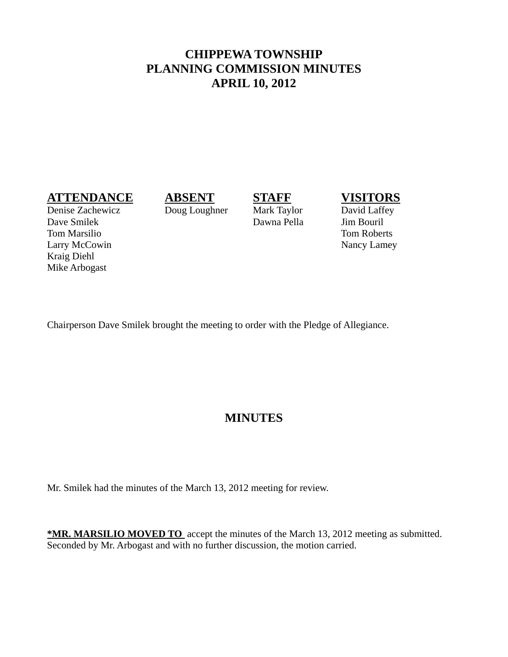# **CHIPPEWA TOWNSHIP PLANNING COMMISSION MINUTES APRIL 10, 2012**

### **ATTENDANCE ABSENT STAFF VISITORS**

Denise Zachewicz Doug Loughner Mark Taylor David Laffey Dave Smilek Dawna Pella Jim Bouril Tom Marsilio Tom Roberts Larry McCowin Nancy Lamey Kraig Diehl Mike Arbogast

Chairperson Dave Smilek brought the meeting to order with the Pledge of Allegiance.

# **MINUTES**

Mr. Smilek had the minutes of the March 13, 2012 meeting for review.

**\*MR. MARSILIO MOVED TO** accept the minutes of the March 13, 2012 meeting as submitted. Seconded by Mr. Arbogast and with no further discussion, the motion carried.